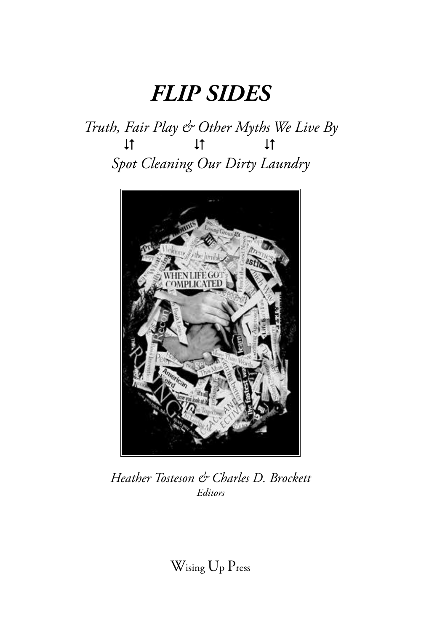# *FLIP SIDES*

*Truth, Fair Play & Other Myths We Live By*  $\uparrow$   $\uparrow$   $\uparrow$   $\uparrow$   $\uparrow$ *Spot Cleaning Our Dirty Laundry*



*Heather Tosteson & Charles D. Brockett Editors*

Wising Up Press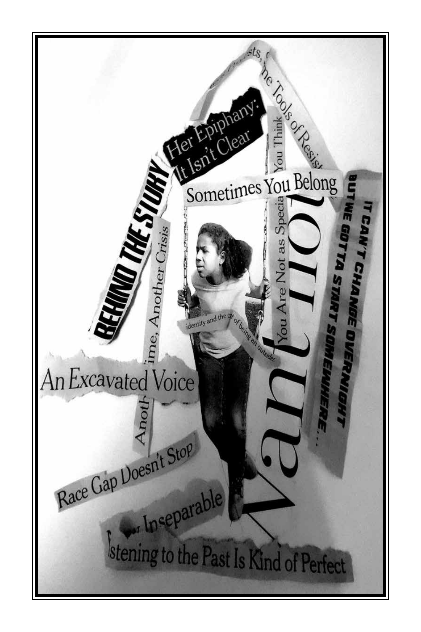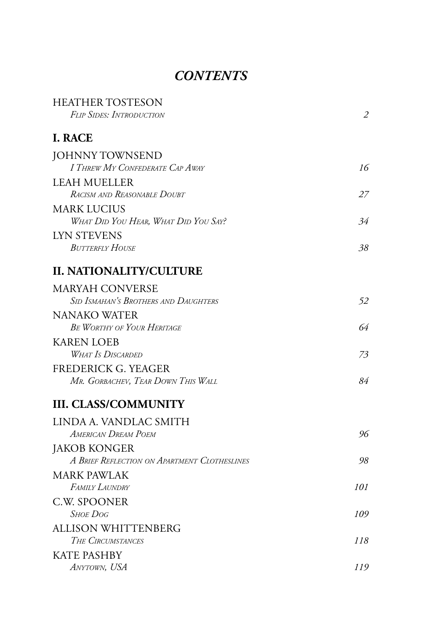# *CONTENTS*

| <b>HEATHER TOSTESON</b>                      |     |
|----------------------------------------------|-----|
| <b>FLIP SIDES: INTRODUCTION</b>              | 2   |
| <b>I. RACE</b>                               |     |
| <b>JOHNNY TOWNSEND</b>                       |     |
| I THREW MY CONFEDERATE CAP AWAY              | 16  |
| LEAH MUELLER                                 |     |
| RACISM AND REASONABLE DOUBT                  | 27  |
| <b>MARK LUCIUS</b>                           |     |
| WHAT DID YOU HEAR, WHAT DID YOU SAY?         | 34  |
| <b>LYN STEVENS</b>                           |     |
| <b>BUTTERFLY HOUSE</b>                       | 38  |
| <b>II. NATIONALITY/CULTURE</b>               |     |
| <b>MARYAH CONVERSE</b>                       |     |
| <b>SID ISMAHAN'S BROTHERS AND DAUGHTERS</b>  | 52  |
| <b>NANAKO WATER</b>                          |     |
| <b>BE WORTHY OF YOUR HERITAGE</b>            | 64  |
| <b>KAREN LOEB</b>                            |     |
| <b>WHAT IS DISCARDED</b>                     | 73  |
| <b>FREDERICK G. YEAGER</b>                   |     |
| MR. GORBACHEV, TEAR DOWN THIS WALL           | 84  |
| <b>III. CLASS/COMMUNITY</b>                  |     |
| LINDA A. VANDLAC SMITH                       |     |
| <b>AMERICAN DREAM POEM</b>                   | 96  |
| <b>JAKOB KONGER</b>                          |     |
| A BRIEF REFLECTION ON APARTMENT CLOTHESLINES | 98  |
| <b>MARK PAWLAK</b>                           |     |
| <b>FAMILY LAUNDRY</b>                        | 101 |
| C.W. SPOONER                                 |     |
| <b>SHOE DOG</b>                              | 109 |
| <b>ALLISON WHITTENBERG</b>                   |     |
| <b>THE CIRCUMSTANCES</b>                     | 118 |
| <b>KATE PASHBY</b>                           |     |
| ANYTOWN, USA                                 | 119 |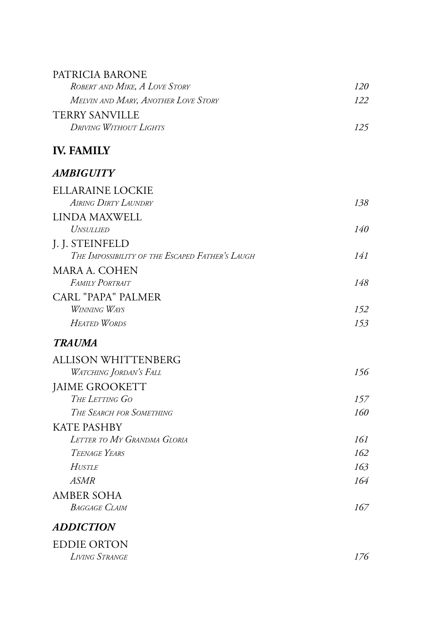| PATRICIA BARONE                                 |            |
|-------------------------------------------------|------------|
| ROBERT AND MIKE, A LOVE STORY                   | <i>120</i> |
| MELVIN AND MARY, ANOTHER LOVE STORY             | 122        |
| <b>TERRY SANVILLE</b>                           |            |
| <b>DRIVING WITHOUT LIGHTS</b>                   | 125        |
| <b>IV. FAMILY</b>                               |            |
| <b>AMBIGUITY</b>                                |            |
| <b>ELLARAINE LOCKIE</b>                         |            |
| AIRING DIRTY LAUNDRY                            | 138        |
| LINDA MAXWELL                                   |            |
| <b>UNSULLIED</b>                                | 140        |
| J. J. STEINFELD                                 |            |
| THE IMPOSSIBILITY OF THE ESCAPED FATHER'S LAUGH | 141        |
| MARA A. COHEN                                   |            |
| FAMILY PORTRAIT                                 | 148        |
| <b>CARL "PAPA" PALMER</b>                       |            |
| WINNING WAYS<br><b>HEATED WORDS</b>             | 152        |
|                                                 | 153        |
| <b>TRAUMA</b>                                   |            |
| ALLISON WHITTENBERG                             |            |
| WATCHING JORDAN'S FALL                          | 156        |
| <b>JAIME GROOKETT</b>                           |            |
| The Letting Go                                  | 157        |
| THE SEARCH FOR SOMETHING                        | 160        |
| <b>KATE PASHBY</b>                              |            |
| LETTER TO MY GRANDMA GLORIA                     | 161        |
| <b>TEENAGE YEARS</b>                            | 162        |
| <b>HUSTLE</b>                                   | 163        |
| <b>ASMR</b>                                     | 164        |
| <b>AMBER SOHA</b>                               |            |
| <b>BAGGAGE CLAIM</b>                            | 167        |
| <i>ADDICTION</i>                                |            |
| <b>EDDIE ORTON</b>                              |            |
| <b>LIVING STRANGE</b>                           | 176        |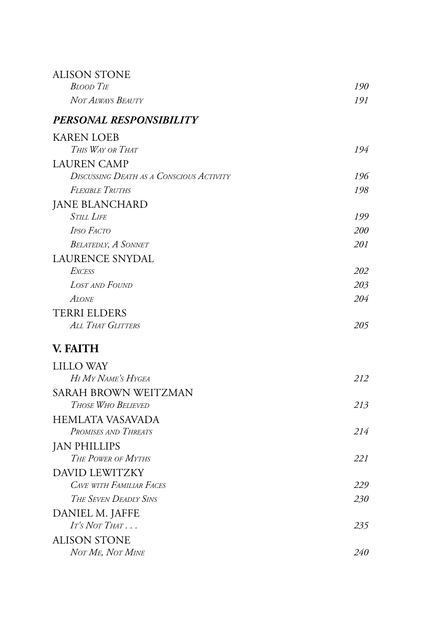| <b>ALISON STONE</b>                      |            |
|------------------------------------------|------------|
| <b>BLOOD</b> TIE                         | 190        |
| <b>NOT ALWAYS BEAUTY</b>                 | 191        |
| PERSONAL RESPONSIBILITY                  |            |
| <b>KAREN LOEB</b>                        |            |
| This Way or That                         | 194        |
| <b>LAUREN CAMP</b>                       |            |
| Discussing Death as a Conscious Activity | 196        |
| <b>FLEXIBLE TRUTHS</b>                   | 198        |
| <b>JANE BLANCHARD</b>                    |            |
| <b>STILL LIFE</b>                        | 199        |
| <b>IPSO FACTO</b>                        | <i>200</i> |
| <b>BELATEDLY, A SONNET</b>               | <i>201</i> |
| <b>LAURENCE SNYDAL</b>                   |            |
| <b>EXCESS</b>                            | 202        |
| <b>LOST AND FOUND</b>                    | 203        |
| <b>ALONE</b>                             | 204        |
| <b>TERRI ELDERS</b>                      |            |
| ALL THAT GLITTERS                        | 205        |
| <b>V. FAITH</b>                          |            |
| <b>LILLO WAY</b>                         |            |
| HI MY NAME'S HYGEA                       | 212        |
| SARAH BROWN WEITZMAN                     |            |
| <b>THOSE WHO BELIEVED</b>                | 213        |
| HEMLATA VASAVADA                         |            |
| PROMISES AND THREATS                     | 214        |
| <b>JAN PHILLIPS</b>                      |            |
| The Power of Myths                       | 221        |
| <b>DAVID LEWITZKY</b>                    |            |
| CAVE WITH FAMILIAR FACES                 | 229        |
| THE SEVEN DEADLY SINS                    | 230        |
| DANIEL M. JAFFE                          |            |
| $I$ t's Not That $\ldots$                | 235        |
| <b>ALISON STONE</b>                      |            |
| NOT ME, NOT MINE                         | 240        |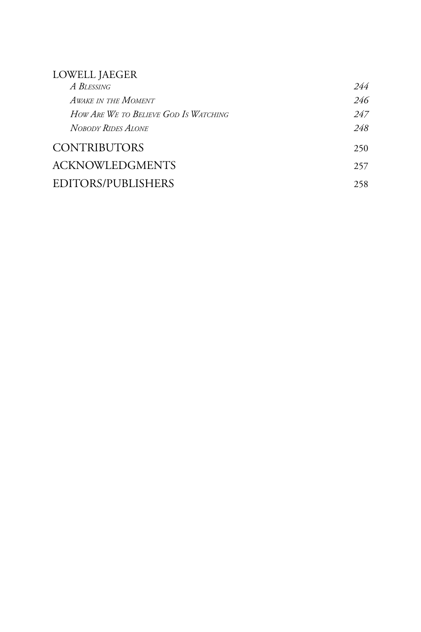# LOWELL JAEGER

| A BLESSING                            | 244 |
|---------------------------------------|-----|
| AWAKE IN THE MOMENT                   | 246 |
| How Are We to Believe God Is Watching | 247 |
| Nobody Rides Alone                    | 248 |
| <b>CONTRIBUTORS</b>                   | 250 |
| ACKNOWLEDGMENTS                       | 257 |
| EDITORS/PUBLISHERS                    | 258 |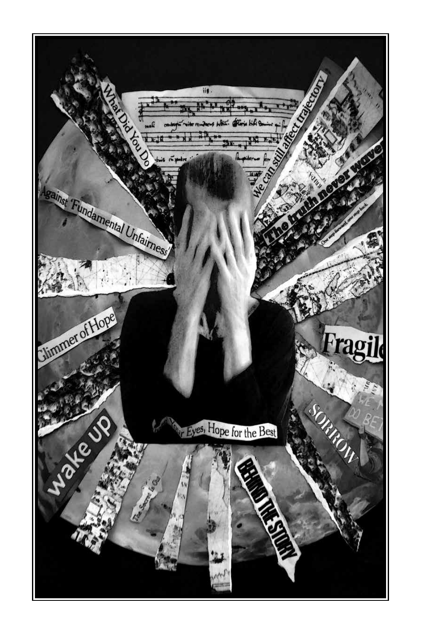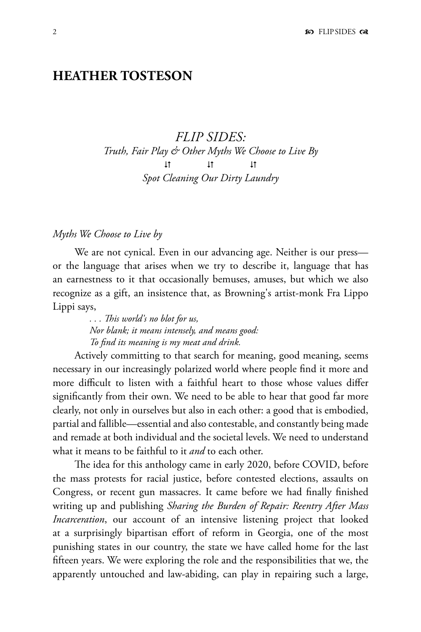### **HEATHER TOSTESON**

#### *FLIP SIDES: Truth, Fair Play & Other Myths We Choose to Live By*  $\uparrow$   $\uparrow$   $\uparrow$   $\uparrow$ *Spot Cleaning Our Dirty Laundry*

#### *Myths We Choose to Live by*

We are not cynical. Even in our advancing age. Neither is our press or the language that arises when we try to describe it, language that has an earnestness to it that occasionally bemuses, amuses, but which we also recognize as a gift, an insistence that, as Browning's artist-monk Fra Lippo Lippi says,

> *. . . This world's no blot for us, Nor blank; it means intensely, and means good: To find its meaning is my meat and drink.*

Actively committing to that search for meaning, good meaning, seems necessary in our increasingly polarized world where people find it more and more difficult to listen with a faithful heart to those whose values differ significantly from their own. We need to be able to hear that good far more clearly, not only in ourselves but also in each other: a good that is embodied, partial and fallible—essential and also contestable, and constantly being made and remade at both individual and the societal levels. We need to understand what it means to be faithful to it *and* to each other.

The idea for this anthology came in early 2020, before COVID, before the mass protests for racial justice, before contested elections, assaults on Congress, or recent gun massacres. It came before we had finally finished writing up and publishing *Sharing the Burden of Repair: Reentry After Mass Incarceration*, our account of an intensive listening project that looked at a surprisingly bipartisan effort of reform in Georgia, one of the most punishing states in our country, the state we have called home for the last fifteen years. We were exploring the role and the responsibilities that we, the apparently untouched and law-abiding, can play in repairing such a large,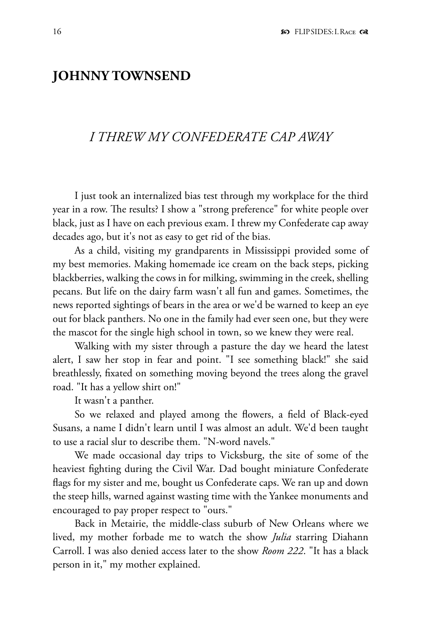#### **JOHNNY TOWNSEND**

#### *I THREW MY CONFEDERATE CAP AWAY*

I just took an internalized bias test through my workplace for the third year in a row. The results? I show a "strong preference" for white people over black, just as I have on each previous exam. I threw my Confederate cap away decades ago, but it's not as easy to get rid of the bias.

As a child, visiting my grandparents in Mississippi provided some of my best memories. Making homemade ice cream on the back steps, picking blackberries, walking the cows in for milking, swimming in the creek, shelling pecans. But life on the dairy farm wasn't all fun and games. Sometimes, the news reported sightings of bears in the area or we'd be warned to keep an eye out for black panthers. No one in the family had ever seen one, but they were the mascot for the single high school in town, so we knew they were real.

Walking with my sister through a pasture the day we heard the latest alert, I saw her stop in fear and point. "I see something black!" she said breathlessly, fixated on something moving beyond the trees along the gravel road. "It has a yellow shirt on!"

It wasn't a panther.

So we relaxed and played among the flowers, a field of Black-eyed Susans, a name I didn't learn until I was almost an adult. We'd been taught to use a racial slur to describe them. "N-word navels."

We made occasional day trips to Vicksburg, the site of some of the heaviest fighting during the Civil War. Dad bought miniature Confederate flags for my sister and me, bought us Confederate caps. We ran up and down the steep hills, warned against wasting time with the Yankee monuments and encouraged to pay proper respect to "ours."

Back in Metairie, the middle-class suburb of New Orleans where we lived, my mother forbade me to watch the show *Julia* starring Diahann Carroll. I was also denied access later to the show *Room 222*. "It has a black person in it," my mother explained.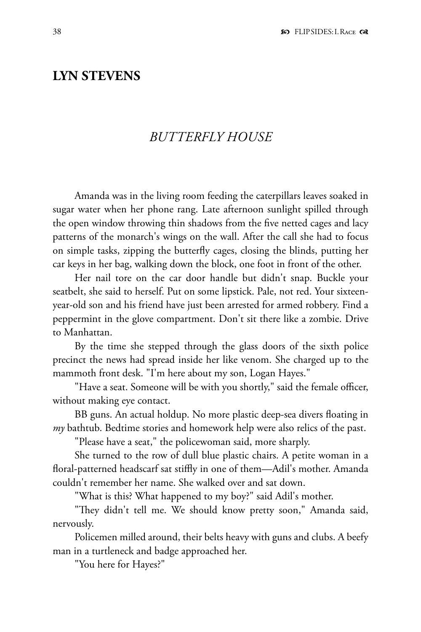### **LYN STEVENS**

#### *BUTTERFLY HOUSE*

Amanda was in the living room feeding the caterpillars leaves soaked in sugar water when her phone rang. Late afternoon sunlight spilled through the open window throwing thin shadows from the five netted cages and lacy patterns of the monarch's wings on the wall. After the call she had to focus on simple tasks, zipping the butterfly cages, closing the blinds, putting her car keys in her bag, walking down the block, one foot in front of the other.

Her nail tore on the car door handle but didn't snap. Buckle your seatbelt, she said to herself. Put on some lipstick. Pale, not red. Your sixteenyear-old son and his friend have just been arrested for armed robbery. Find a peppermint in the glove compartment. Don't sit there like a zombie. Drive to Manhattan.

By the time she stepped through the glass doors of the sixth police precinct the news had spread inside her like venom. She charged up to the mammoth front desk. "I'm here about my son, Logan Hayes."

"Have a seat. Someone will be with you shortly," said the female officer, without making eye contact.

BB guns. An actual holdup. No more plastic deep-sea divers floating in *my* bathtub. Bedtime stories and homework help were also relics of the past.

"Please have a seat," the policewoman said, more sharply.

She turned to the row of dull blue plastic chairs. A petite woman in a floral-patterned headscarf sat stiffly in one of them—Adil's mother. Amanda couldn't remember her name. She walked over and sat down.

"What is this? What happened to my boy?" said Adil's mother.

"They didn't tell me. We should know pretty soon," Amanda said, nervously.

Policemen milled around, their belts heavy with guns and clubs. A beefy man in a turtleneck and badge approached her.

"You here for Hayes?"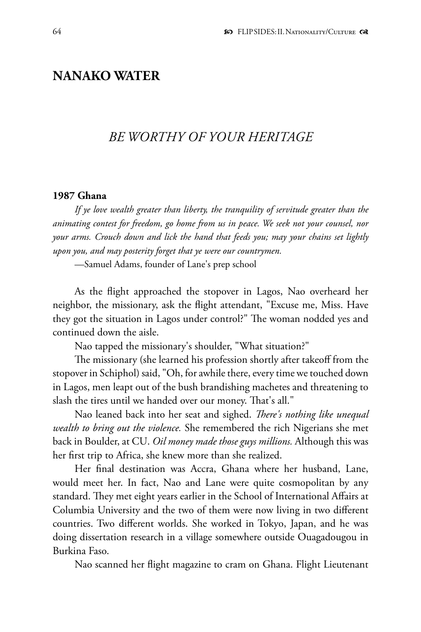### **NANAKO WATER**

#### *BE WORTHY OF YOUR HERITAGE*

#### **1987 Ghana**

*If ye love wealth greater than liberty, the tranquility of servitude greater than the animating contest for freedom, go home from us in peace. We seek not your counsel, nor your arms. Crouch down and lick the hand that feeds you; may your chains set lightly upon you, and may posterity forget that ye were our countrymen.*

—Samuel Adams, founder of Lane's prep school

As the flight approached the stopover in Lagos, Nao overheard her neighbor, the missionary, ask the flight attendant, "Excuse me, Miss. Have they got the situation in Lagos under control?" The woman nodded yes and continued down the aisle.

Nao tapped the missionary's shoulder, "What situation?"

The missionary (she learned his profession shortly after takeoff from the stopover in Schiphol) said, "Oh, for awhile there, every time we touched down in Lagos, men leapt out of the bush brandishing machetes and threatening to slash the tires until we handed over our money. That's all."

Nao leaned back into her seat and sighed. *There's nothing like unequal wealth to bring out the violence.* She remembered the rich Nigerians she met back in Boulder, at CU. *Oil money made those guys millions.* Although this was her first trip to Africa, she knew more than she realized.

Her final destination was Accra, Ghana where her husband, Lane, would meet her. In fact, Nao and Lane were quite cosmopolitan by any standard. They met eight years earlier in the School of International Affairs at Columbia University and the two of them were now living in two different countries. Two different worlds. She worked in Tokyo, Japan, and he was doing dissertation research in a village somewhere outside Ouagadougou in Burkina Faso.

Nao scanned her flight magazine to cram on Ghana. Flight Lieutenant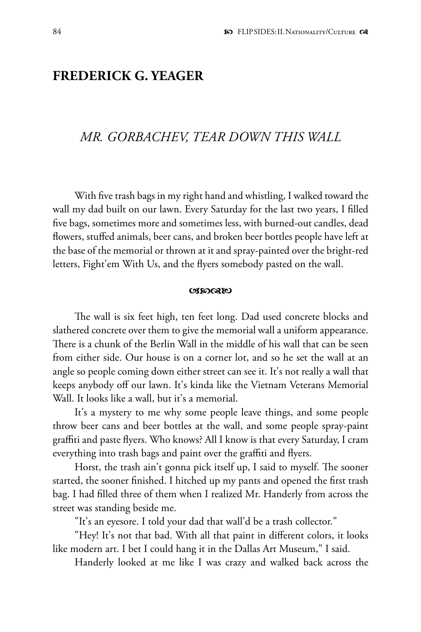#### **FREDERICK G. YEAGER**

#### *MR. GORBACHEV, TEAR DOWN THIS WALL*

With five trash bags in my right hand and whistling, I walked toward the wall my dad built on our lawn. Every Saturday for the last two years, I filled five bags, sometimes more and sometimes less, with burned-out candles, dead flowers, stuffed animals, beer cans, and broken beer bottles people have left at the base of the memorial or thrown at it and spray-painted over the bright-red letters, Fight'em With Us, and the flyers somebody pasted on the wall.

#### **CBOORED**

The wall is six feet high, ten feet long. Dad used concrete blocks and slathered concrete over them to give the memorial wall a uniform appearance. There is a chunk of the Berlin Wall in the middle of his wall that can be seen from either side. Our house is on a corner lot, and so he set the wall at an angle so people coming down either street can see it. It's not really a wall that keeps anybody off our lawn. It's kinda like the Vietnam Veterans Memorial Wall. It looks like a wall, but it's a memorial.

It's a mystery to me why some people leave things, and some people throw beer cans and beer bottles at the wall, and some people spray-paint graffiti and paste flyers. Who knows? All I know is that every Saturday, I cram everything into trash bags and paint over the graffiti and flyers.

Horst, the trash ain't gonna pick itself up, I said to myself. The sooner started, the sooner finished. I hitched up my pants and opened the first trash bag. I had filled three of them when I realized Mr. Handerly from across the street was standing beside me.

"It's an eyesore. I told your dad that wall'd be a trash collector."

"Hey! It's not that bad. With all that paint in different colors, it looks like modern art. I bet I could hang it in the Dallas Art Museum," I said.

Handerly looked at me like I was crazy and walked back across the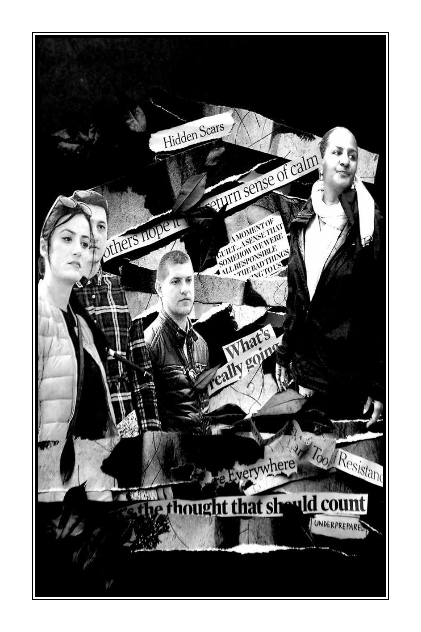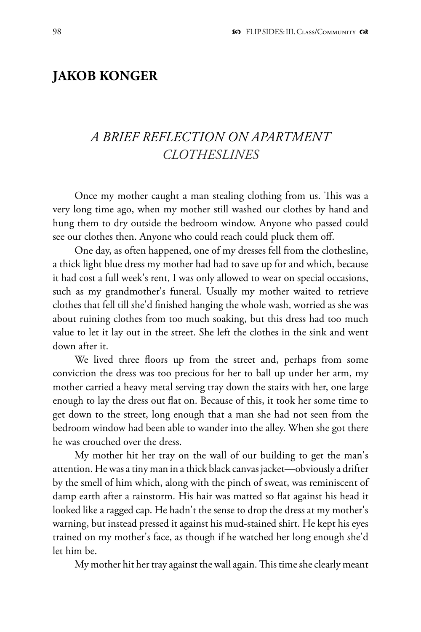## **JAKOB KONGER**

# *A BRIEF REFLECTION ON APARTMENT CLOTHESLINES*

Once my mother caught a man stealing clothing from us. This was a very long time ago, when my mother still washed our clothes by hand and hung them to dry outside the bedroom window. Anyone who passed could see our clothes then. Anyone who could reach could pluck them off.

One day, as often happened, one of my dresses fell from the clothesline, a thick light blue dress my mother had had to save up for and which, because it had cost a full week's rent, I was only allowed to wear on special occasions, such as my grandmother's funeral. Usually my mother waited to retrieve clothes that fell till she'd finished hanging the whole wash, worried as she was about ruining clothes from too much soaking, but this dress had too much value to let it lay out in the street. She left the clothes in the sink and went down after it.

We lived three floors up from the street and, perhaps from some conviction the dress was too precious for her to ball up under her arm, my mother carried a heavy metal serving tray down the stairs with her, one large enough to lay the dress out flat on. Because of this, it took her some time to get down to the street, long enough that a man she had not seen from the bedroom window had been able to wander into the alley. When she got there he was crouched over the dress.

My mother hit her tray on the wall of our building to get the man's attention. He was a tiny man in a thick black canvas jacket—obviously a drifter by the smell of him which, along with the pinch of sweat, was reminiscent of damp earth after a rainstorm. His hair was matted so flat against his head it looked like a ragged cap. He hadn't the sense to drop the dress at my mother's warning, but instead pressed it against his mud-stained shirt. He kept his eyes trained on my mother's face, as though if he watched her long enough she'd let him be.

My mother hit her tray against the wall again. This time she clearly meant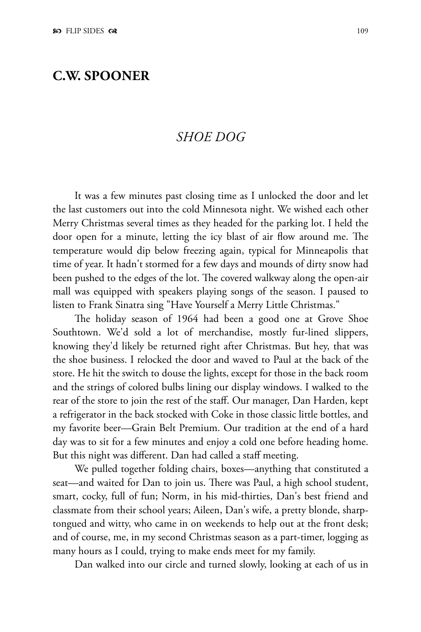#### **C.W. SPOONER**

#### *SHOE DOG*

It was a few minutes past closing time as I unlocked the door and let the last customers out into the cold Minnesota night. We wished each other Merry Christmas several times as they headed for the parking lot. I held the door open for a minute, letting the icy blast of air flow around me. The temperature would dip below freezing again, typical for Minneapolis that time of year. It hadn't stormed for a few days and mounds of dirty snow had been pushed to the edges of the lot. The covered walkway along the open-air mall was equipped with speakers playing songs of the season. I paused to listen to Frank Sinatra sing "Have Yourself a Merry Little Christmas."

The holiday season of 1964 had been a good one at Grove Shoe Southtown. We'd sold a lot of merchandise, mostly fur-lined slippers, knowing they'd likely be returned right after Christmas. But hey, that was the shoe business. I relocked the door and waved to Paul at the back of the store. He hit the switch to douse the lights, except for those in the back room and the strings of colored bulbs lining our display windows. I walked to the rear of the store to join the rest of the staff. Our manager, Dan Harden, kept a refrigerator in the back stocked with Coke in those classic little bottles, and my favorite beer—Grain Belt Premium. Our tradition at the end of a hard day was to sit for a few minutes and enjoy a cold one before heading home. But this night was different. Dan had called a staff meeting.

We pulled together folding chairs, boxes—anything that constituted a seat—and waited for Dan to join us. There was Paul, a high school student, smart, cocky, full of fun; Norm, in his mid-thirties, Dan's best friend and classmate from their school years; Aileen, Dan's wife, a pretty blonde, sharptongued and witty, who came in on weekends to help out at the front desk; and of course, me, in my second Christmas season as a part-timer, logging as many hours as I could, trying to make ends meet for my family.

Dan walked into our circle and turned slowly, looking at each of us in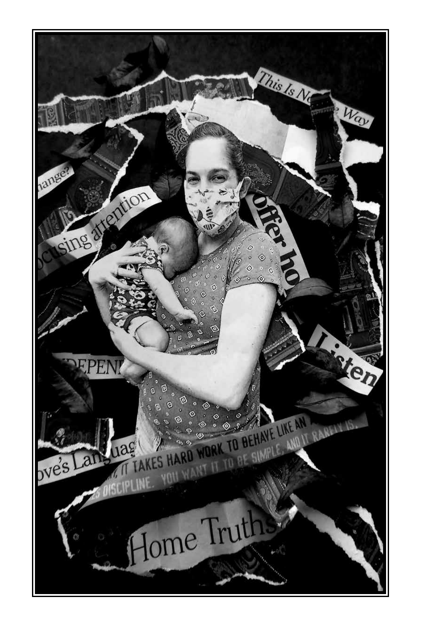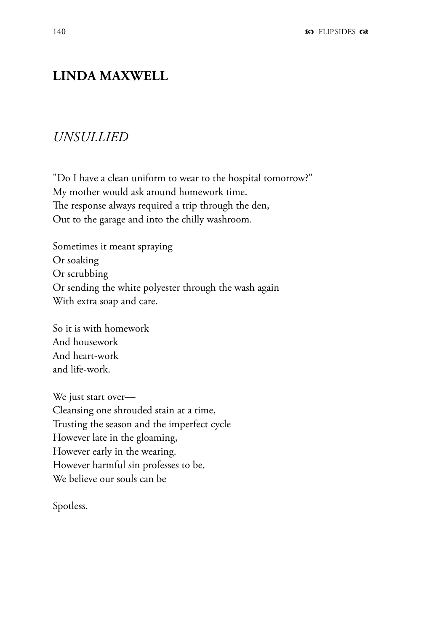# **LINDA MAXWELL**

### *UNSULLIED*

"Do I have a clean uniform to wear to the hospital tomorrow?" My mother would ask around homework time. The response always required a trip through the den, Out to the garage and into the chilly washroom.

Sometimes it meant spraying Or soaking Or scrubbing Or sending the white polyester through the wash again With extra soap and care.

So it is with homework And housework And heart-work and life-work.

We just start over— Cleansing one shrouded stain at a time, Trusting the season and the imperfect cycle However late in the gloaming, However early in the wearing. However harmful sin professes to be, We believe our souls can be

Spotless.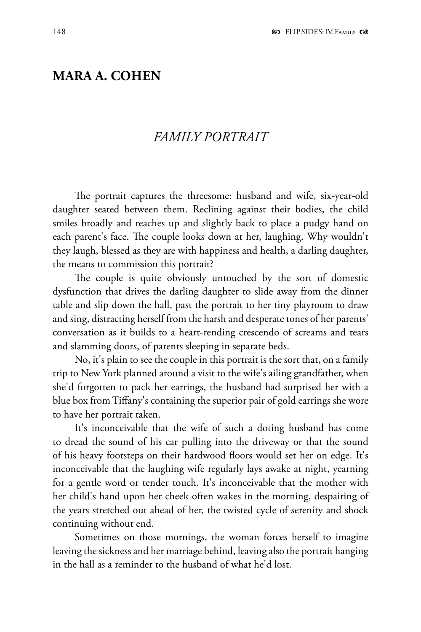#### **MARA A. COHEN**

#### *FAMILY PORTRAIT*

The portrait captures the threesome: husband and wife, six-year-old daughter seated between them. Reclining against their bodies, the child smiles broadly and reaches up and slightly back to place a pudgy hand on each parent's face. The couple looks down at her, laughing. Why wouldn't they laugh, blessed as they are with happiness and health, a darling daughter, the means to commission this portrait?

The couple is quite obviously untouched by the sort of domestic dysfunction that drives the darling daughter to slide away from the dinner table and slip down the hall, past the portrait to her tiny playroom to draw and sing, distracting herself from the harsh and desperate tones of her parents' conversation as it builds to a heart-rending crescendo of screams and tears and slamming doors, of parents sleeping in separate beds.

No, it's plain to see the couple in this portrait is the sort that, on a family trip to New York planned around a visit to the wife's ailing grandfather, when she'd forgotten to pack her earrings, the husband had surprised her with a blue box from Tiffany's containing the superior pair of gold earrings she wore to have her portrait taken.

It's inconceivable that the wife of such a doting husband has come to dread the sound of his car pulling into the driveway or that the sound of his heavy footsteps on their hardwood floors would set her on edge. It's inconceivable that the laughing wife regularly lays awake at night, yearning for a gentle word or tender touch. It's inconceivable that the mother with her child's hand upon her cheek often wakes in the morning, despairing of the years stretched out ahead of her, the twisted cycle of serenity and shock continuing without end.

Sometimes on those mornings, the woman forces herself to imagine leaving the sickness and her marriage behind, leaving also the portrait hanging in the hall as a reminder to the husband of what he'd lost.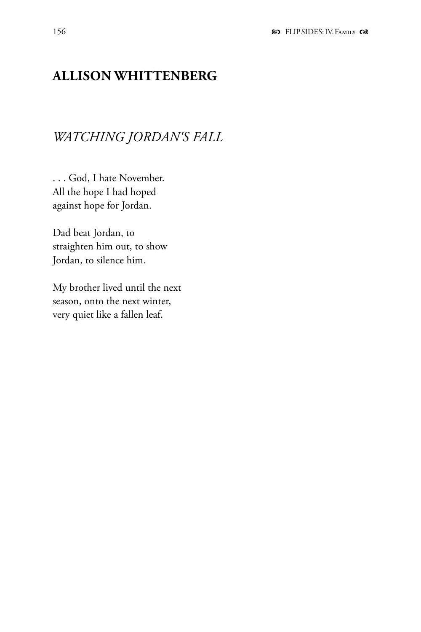# **ALLISON WHITTENBERG**

# *WATCHING JORDAN'S FALL*

. . . God, I hate November. All the hope I had hoped against hope for Jordan.

Dad beat Jordan, to straighten him out, to show Jordan, to silence him.

My brother lived until the next season, onto the next winter, very quiet like a fallen leaf.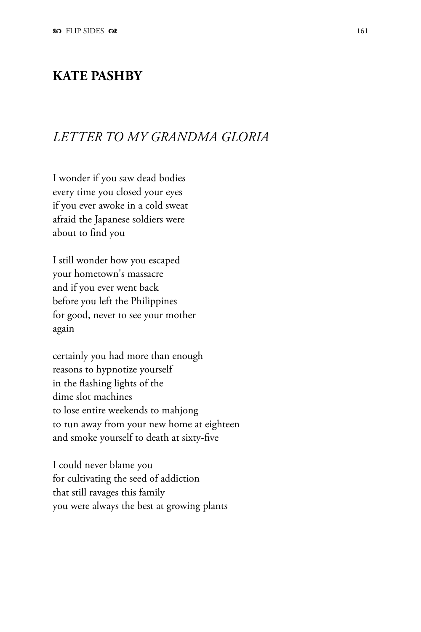# **KATE PASHBY**

### *LETTER TO MY GRANDMA GLORIA*

I wonder if you saw dead bodies every time you closed your eyes if you ever awoke in a cold sweat afraid the Japanese soldiers were about to find you

I still wonder how you escaped your hometown's massacre and if you ever went back before you left the Philippines for good, never to see your mother again

certainly you had more than enough reasons to hypnotize yourself in the flashing lights of the dime slot machines to lose entire weekends to mahjong to run away from your new home at eighteen and smoke yourself to death at sixty-five

I could never blame you for cultivating the seed of addiction that still ravages this family you were always the best at growing plants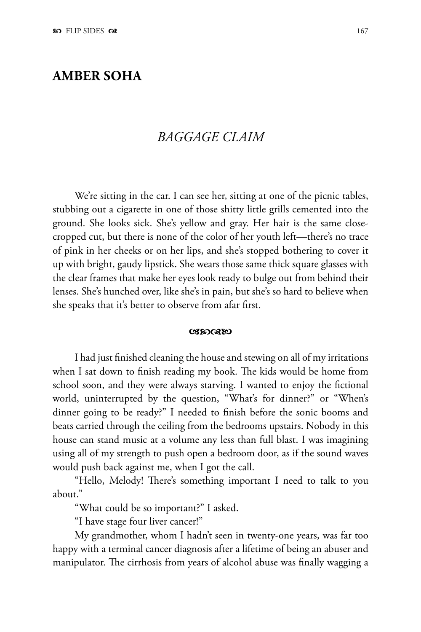### **AMBER SOHA**

#### *BAGGAGE CLAIM*

We're sitting in the car. I can see her, sitting at one of the picnic tables, stubbing out a cigarette in one of those shitty little grills cemented into the ground. She looks sick. She's yellow and gray. Her hair is the same closecropped cut, but there is none of the color of her youth left—there's no trace of pink in her cheeks or on her lips, and she's stopped bothering to cover it up with bright, gaudy lipstick. She wears those same thick square glasses with the clear frames that make her eyes look ready to bulge out from behind their lenses. She's hunched over, like she's in pain, but she's so hard to believe when she speaks that it's better to observe from afar first.

#### **CBDORED**

I had just finished cleaning the house and stewing on all of my irritations when I sat down to finish reading my book. The kids would be home from school soon, and they were always starving. I wanted to enjoy the fictional world, uninterrupted by the question, "What's for dinner?" or "When's dinner going to be ready?" I needed to finish before the sonic booms and beats carried through the ceiling from the bedrooms upstairs. Nobody in this house can stand music at a volume any less than full blast. I was imagining using all of my strength to push open a bedroom door, as if the sound waves would push back against me, when I got the call.

"Hello, Melody! There's something important I need to talk to you about."

"What could be so important?" I asked.

"I have stage four liver cancer!"

My grandmother, whom I hadn't seen in twenty-one years, was far too happy with a terminal cancer diagnosis after a lifetime of being an abuser and manipulator. The cirrhosis from years of alcohol abuse was finally wagging a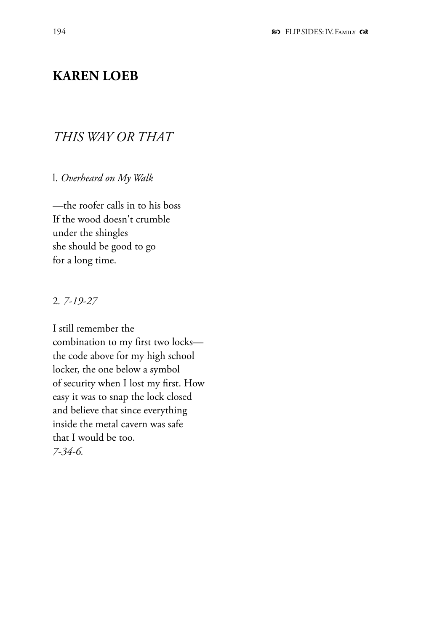# **KAREN LOEB**

### *THIS WAY OR THAT*

l. *Overheard on My Walk*

—the roofer calls in to his boss If the wood doesn't crumble under the shingles she should be good to go for a long time.

#### 2*. 7-19-27*

I still remember the combination to my first two locks the code above for my high school locker, the one below a symbol of security when I lost my first. How easy it was to snap the lock closed and believe that since everything inside the metal cavern was safe that I would be too. *7-34-6.*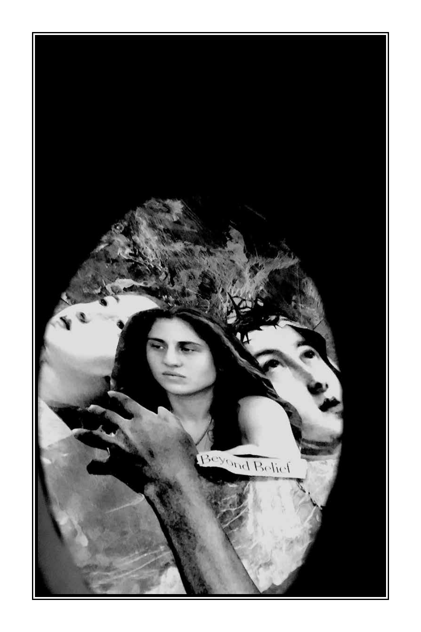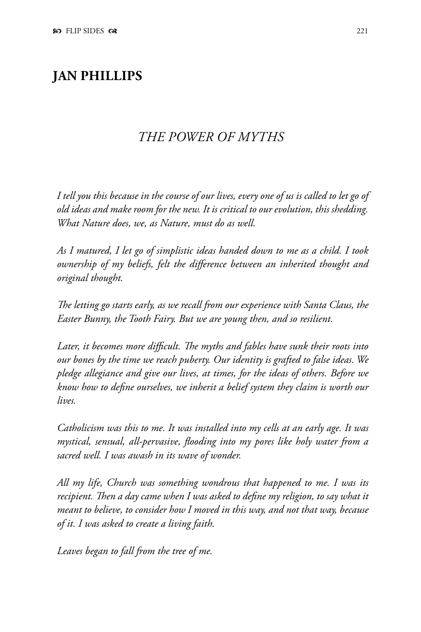# **JAN PHILLIPS**

#### *THE POWER OF MYTHS*

*I tell you this because in the course of our lives, every one of us is called to let go of old ideas and make room for the new. It is critical to our evolution, this shedding. What Nature does, we, as Nature, must do as well.* 

*As I matured, I let go of simplistic ideas handed down to me as a child. I took ownership of my beliefs, felt the difference between an inherited thought and original thought.*

*The letting go starts early, as we recall from our experience with Santa Claus, the Easter Bunny, the Tooth Fairy. But we are young then, and so resilient.* 

*Later, it becomes more difficult. The myths and fables have sunk their roots into our bones by the time we reach puberty. Our identity is grafted to false ideas. We pledge allegiance and give our lives, at times, for the ideas of others. Before we know how to define ourselves, we inherit a belief system they claim is worth our lives.*

*Catholicism was this to me. It was installed into my cells at an early age. It was mystical, sensual, all-pervasive, flooding into my pores like holy water from a sacred well. I was awash in its wave of wonder.*

*All my life, Church was something wondrous that happened to me. I was its recipient. Then a day came when I was asked to define my religion, to say what it meant to believe, to consider how I moved in this way, and not that way, because of it. I was asked to create a living faith.* 

*Leaves began to fall from the tree of me.*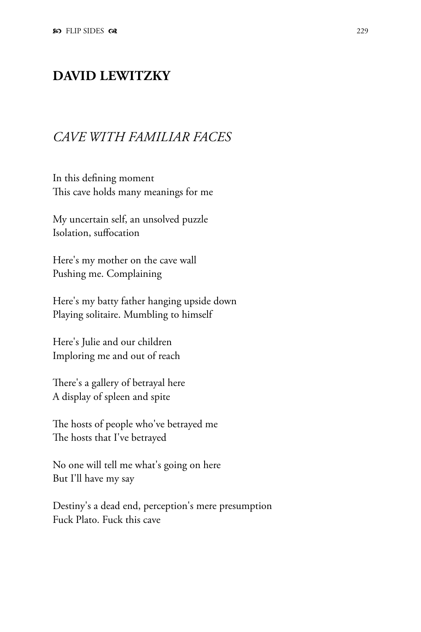# **DAVID LEWITZKY**

### *CAVE WITH FAMILIAR FACES*

In this defining moment This cave holds many meanings for me

My uncertain self, an unsolved puzzle Isolation, suffocation

Here's my mother on the cave wall Pushing me. Complaining

Here's my batty father hanging upside down Playing solitaire. Mumbling to himself

Here's Julie and our children Imploring me and out of reach

There's a gallery of betrayal here A display of spleen and spite

The hosts of people who've betrayed me The hosts that I've betrayed

No one will tell me what's going on here But I'll have my say

Destiny's a dead end, perception's mere presumption Fuck Plato. Fuck this cave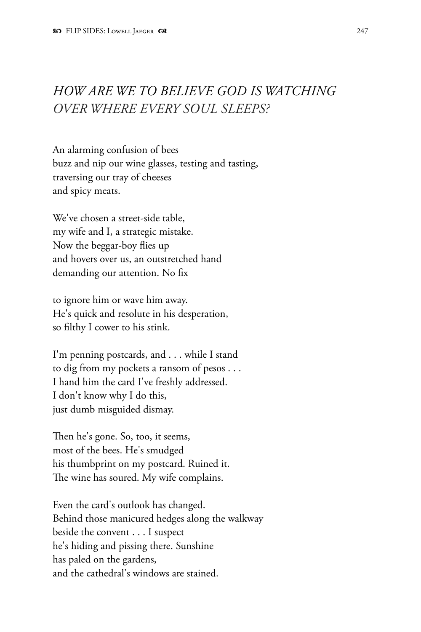# *HOW ARE WE TO BELIEVE GOD IS WATCHING OVER WHERE EVERY SOUL SLEEPS?*

An alarming confusion of bees buzz and nip our wine glasses, testing and tasting, traversing our tray of cheeses and spicy meats.

We've chosen a street-side table, my wife and I, a strategic mistake. Now the beggar-boy flies up and hovers over us, an outstretched hand demanding our attention. No fix

to ignore him or wave him away. He's quick and resolute in his desperation, so filthy I cower to his stink.

I'm penning postcards, and . . . while I stand to dig from my pockets a ransom of pesos . . . I hand him the card I've freshly addressed. I don't know why I do this, just dumb misguided dismay.

Then he's gone. So, too, it seems, most of the bees. He's smudged his thumbprint on my postcard. Ruined it. The wine has soured. My wife complains.

Even the card's outlook has changed. Behind those manicured hedges along the walkway beside the convent . . . I suspect he's hiding and pissing there. Sunshine has paled on the gardens, and the cathedral's windows are stained.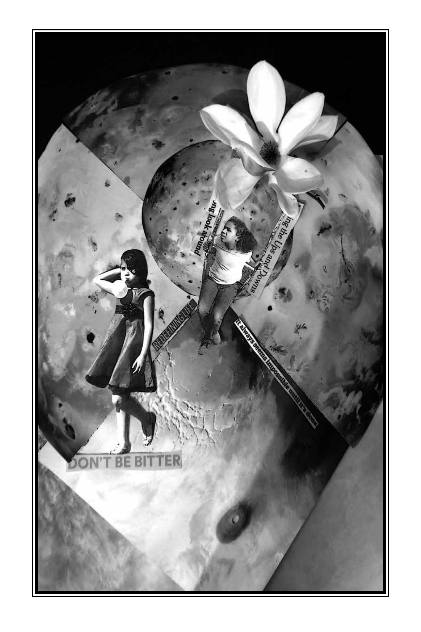